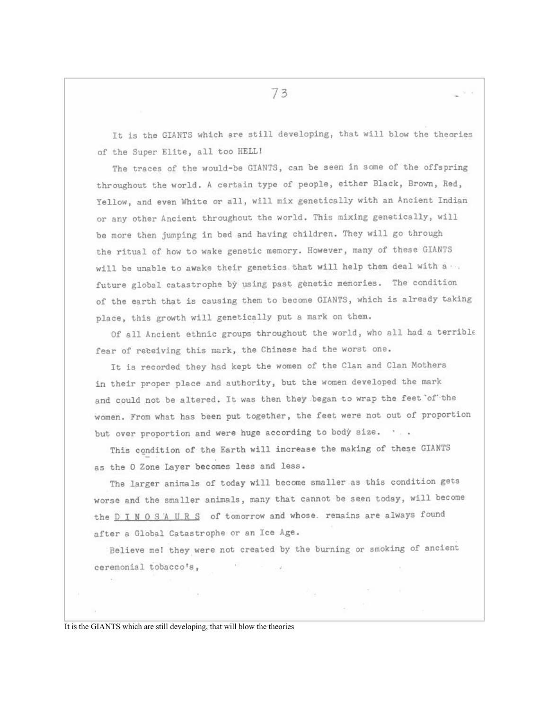It is the GIANTS which are still developing, that will blow the theories of the Super Elite, all too HELL!

The traces of the would-be GIANTS, can be seen in some of the offspring throughout the world. A certain type of people, either Black, Brown, Red, Yellow, and even White or all, will mix genetically with an Ancient Indian or any other Ancient throughout the world. This mixing genetically, will be more then jumping in bed and having children. They will go through the ritual of how to wake genetic memory. However, many of these GIANTS will be unable to awake their genetics that will help them deal with a ... future global catastrophe by using past genetic memories. The condition of the earth that is causing them to become GIANTS, which is already taking place, this growth will genetically put a mark on them.

Of all Ancient ethnic groups throughout the world, who all had a terrible fear of receiving this mark, the Chinese had the worst one.

It is recorded they had kept the women of the Clan and Clan Mothers in their proper place and authority, but the women developed the mark and could not be altered. It was then they began to wrap the feet of the women. From what has been put together, the feet were not out of proportion but over proportion and were huge according to body size. ...

This condition of the Earth will increase the making of these GIANTS as the O Zone Layer becomes less and less.

The larger animals of today will become smaller as this condition gets worse and the smaller animals, many that cannot be seen today, will become the D I N O S A U R S of tomorrow and whose. remains are always found after a Global Catastrophe or an Ice Age.

Believe me! they were not created by the burning or smoking of ancient ceremonial tobacco's,

 $\frac{1}{2}$ 

It is the GIANTS which are still developing, that will blow the theories

- 200